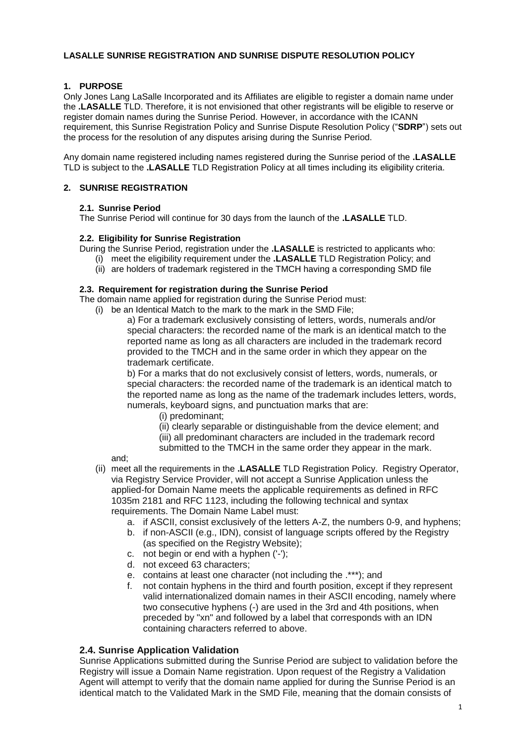# **LASALLE SUNRISE REGISTRATION AND SUNRISE DISPUTE RESOLUTION POLICY**

# **1. PURPOSE**

Only Jones Lang LaSalle Incorporated and its Affiliates are eligible to register a domain name under the **.LASALLE** TLD. Therefore, it is not envisioned that other registrants will be eligible to reserve or register domain names during the Sunrise Period. However, in accordance with the ICANN requirement, this Sunrise Registration Policy and Sunrise Dispute Resolution Policy ("**SDRP**") sets out the process for the resolution of any disputes arising during the Sunrise Period.

Any domain name registered including names registered during the Sunrise period of the **.LASALLE**  TLD is subject to the **.LASALLE** TLD Registration Policy at all times including its eligibility criteria.

# **2. SUNRISE REGISTRATION**

# **2.1. Sunrise Period**

The Sunrise Period will continue for 30 days from the launch of the **.LASALLE** TLD.

# **2.2. Eligibility for Sunrise Registration**

During the Sunrise Period, registration under the **.LASALLE** is restricted to applicants who:

- (i) meet the eligibility requirement under the **.LASALLE** TLD Registration Policy; and
- $(iii)$  are holders of trademark registered in the TMCH having a corresponding SMD file

#### **2.3. Requirement for registration during the Sunrise Period**

The domain name applied for registration during the Sunrise Period must:

- (i) be an Identical Match to the mark to the mark in the SMD File;
	- a) For a trademark exclusively consisting of letters, words, numerals and/or special characters: the recorded name of the mark is an identical match to the reported name as long as all characters are included in the trademark record provided to the TMCH and in the same order in which they appear on the trademark certificate.

b) For a marks that do not exclusively consist of letters, words, numerals, or special characters: the recorded name of the trademark is an identical match to the reported name as long as the name of the trademark includes letters, words, numerals, keyboard signs, and punctuation marks that are:

- (i) predominant;
- (ii) clearly separable or distinguishable from the device element; and
- (iii) all predominant characters are included in the trademark record
- submitted to the TMCH in the same order they appear in the mark.

and;

- (ii) meet all the requirements in the **.LASALLE** TLD Registration Policy. Registry Operator, via Registry Service Provider, will not accept a Sunrise Application unless the applied-for Domain Name meets the applicable requirements as defined in RFC 1035m 2181 and RFC 1123, including the following technical and syntax requirements. The Domain Name Label must:
	- a. if ASCII, consist exclusively of the letters A-Z, the numbers 0-9, and hyphens;
	- b. if non-ASCII (e.g., IDN), consist of language scripts offered by the Registry (as specified on the Registry Website);
	- c. not begin or end with a hyphen ('-');
	- d. not exceed 63 characters;
	- e. contains at least one character (not including the .\*\*\*); and
	- f. not contain hyphens in the third and fourth position, except if they represent valid internationalized domain names in their ASCII encoding, namely where two consecutive hyphens (-) are used in the 3rd and 4th positions, when preceded by "xn" and followed by a label that corresponds with an IDN containing characters referred to above.

# **2.4. Sunrise Application Validation**

Sunrise Applications submitted during the Sunrise Period are subject to validation before the Registry will issue a Domain Name registration. Upon request of the Registry a Validation Agent will attempt to verify that the domain name applied for during the Sunrise Period is an identical match to the Validated Mark in the SMD File, meaning that the domain consists of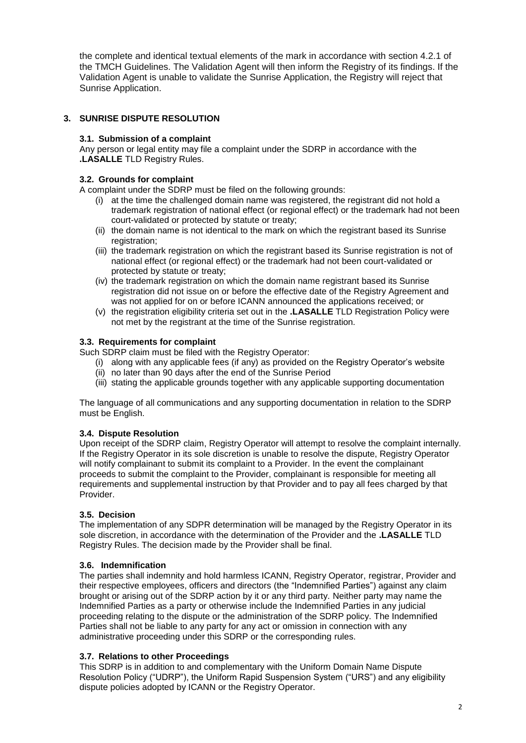the complete and identical textual elements of the mark in accordance with section 4.2.1 of the TMCH Guidelines. The Validation Agent will then inform the Registry of its findings. If the Validation Agent is unable to validate the Sunrise Application, the Registry will reject that Sunrise Application.

# **3. SUNRISE DISPUTE RESOLUTION**

# **3.1. Submission of a complaint**

Any person or legal entity may file a complaint under the SDRP in accordance with the **.LASALLE** TLD Registry Rules.

# **3.2. Grounds for complaint**

A complaint under the SDRP must be filed on the following grounds:

- (i) at the time the challenged domain name was registered, the registrant did not hold a trademark registration of national effect (or regional effect) or the trademark had not been court-validated or protected by statute or treaty;
- (ii) the domain name is not identical to the mark on which the registrant based its Sunrise registration;
- (iii) the trademark registration on which the registrant based its Sunrise registration is not of national effect (or regional effect) or the trademark had not been court-validated or protected by statute or treaty;
- (iv) the trademark registration on which the domain name registrant based its Sunrise registration did not issue on or before the effective date of the Registry Agreement and was not applied for on or before ICANN announced the applications received; or
- (v) the registration eligibility criteria set out in the **.LASALLE** TLD Registration Policy were not met by the registrant at the time of the Sunrise registration.

# **3.3. Requirements for complaint**

Such SDRP claim must be filed with the Registry Operator:

- (i) along with any applicable fees (if any) as provided on the Registry Operator's website
- (ii) no later than 90 days after the end of the Sunrise Period
- (iii) stating the applicable grounds together with any applicable supporting documentation

The language of all communications and any supporting documentation in relation to the SDRP must be English.

# **3.4. Dispute Resolution**

Upon receipt of the SDRP claim, Registry Operator will attempt to resolve the complaint internally. If the Registry Operator in its sole discretion is unable to resolve the dispute, Registry Operator will notify complainant to submit its complaint to a Provider. In the event the complainant proceeds to submit the complaint to the Provider, complainant is responsible for meeting all requirements and supplemental instruction by that Provider and to pay all fees charged by that Provider.

# **3.5. Decision**

The implementation of any SDPR determination will be managed by the Registry Operator in its sole discretion, in accordance with the determination of the Provider and the **.LASALLE** TLD Registry Rules. The decision made by the Provider shall be final.

# **3.6. Indemnification**

The parties shall indemnity and hold harmless ICANN, Registry Operator, registrar, Provider and their respective employees, officers and directors (the "Indemnified Parties") against any claim brought or arising out of the SDRP action by it or any third party. Neither party may name the Indemnified Parties as a party or otherwise include the Indemnified Parties in any judicial proceeding relating to the dispute or the administration of the SDRP policy. The Indemnified Parties shall not be liable to any party for any act or omission in connection with any administrative proceeding under this SDRP or the corresponding rules.

# **3.7. Relations to other Proceedings**

This SDRP is in addition to and complementary with the Uniform Domain Name Dispute Resolution Policy ("UDRP"), the Uniform Rapid Suspension System ("URS") and any eligibility dispute policies adopted by ICANN or the Registry Operator.